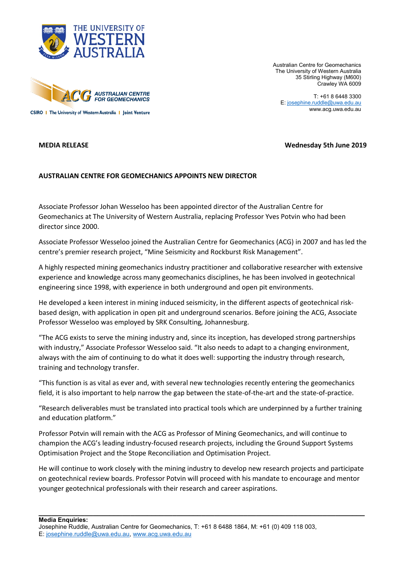



Australian Centre for Geomechanics The University of Western Australia 35 Stirling Highway (M600) Crawley WA 6009

T: +61 8 6448 3300 E[: josephine.ruddle@uwa.edu.au](mailto:josephine.ruddle@uwa.edu.au) www.acg.uwa.edu.au

## **MEDIA RELEASE Wednesday 5th June 2019**

## **AUSTRALIAN CENTRE FOR GEOMECHANICS APPOINTS NEW DIRECTOR**

Associate Professor Johan Wesseloo has been appointed director of the Australian Centre for Geomechanics at The University of Western Australia, replacing Professor Yves Potvin who had been director since 2000.

Associate Professor Wesseloo joined the Australian Centre for Geomechanics (ACG) in 2007 and has led the centre's premier research project, "Mine Seismicity and Rockburst Risk Management".

A highly respected mining geomechanics industry practitioner and collaborative researcher with extensive experience and knowledge across many geomechanics disciplines, he has been involved in geotechnical engineering since 1998, with experience in both underground and open pit environments.

He developed a keen interest in mining induced seismicity, in the different aspects of geotechnical riskbased design, with application in open pit and underground scenarios. Before joining the ACG, Associate Professor Wesseloo was employed by SRK Consulting, Johannesburg.

"The ACG exists to serve the mining industry and, since its inception, has developed strong partnerships with industry," Associate Professor Wesseloo said. "It also needs to adapt to a changing environment, always with the aim of continuing to do what it does well: supporting the industry through research, training and technology transfer.

"This function is as vital as ever and, with several new technologies recently entering the geomechanics field, it is also important to help narrow the gap between the state-of-the-art and the state-of-practice.

"Research deliverables must be translated into practical tools which are underpinned by a further training and education platform."

Professor Potvin will remain with the ACG as Professor of Mining Geomechanics, and will continue to champion the ACG's leading industry-focused research projects, including the Ground Support Systems Optimisation Project and the Stope Reconciliation and Optimisation Project.

He will continue to work closely with the mining industry to develop new research projects and participate on geotechnical review boards. Professor Potvin will proceed with his mandate to encourage and mentor younger geotechnical professionals with their research and career aspirations.

**\_\_\_\_\_\_\_\_\_\_\_\_\_\_\_\_\_\_\_\_\_\_\_\_\_\_\_\_\_\_\_\_\_\_\_\_\_\_\_\_\_\_\_\_\_\_\_\_\_\_\_\_\_\_\_\_\_\_\_\_\_\_\_\_\_\_\_\_\_\_\_\_\_\_\_\_\_\_**

**Media Enquiries:**

Josephine Ruddle, Australian Centre for Geomechanics, T: +61 8 6488 1864, M: +61 (0) 409 118 003, E[: josephine.ruddle@uwa.edu.au,](mailto:josephine.ruddle@uwa.edu.au) [www.acg.uwa.edu.au](http://www.acg.uwa.edu.au/)